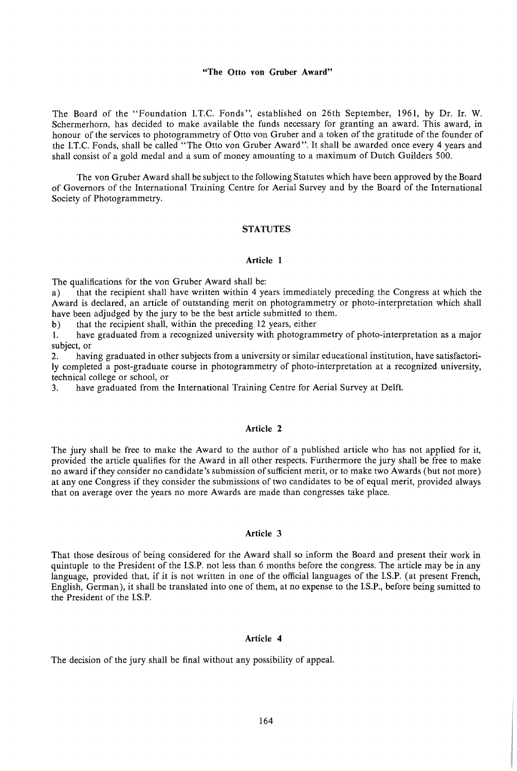### **"The Otto von Gruber Award"**

The Board of the "Foundation I.T.C. Fonds", established on 26th September, 1961, by Dr. Ir. W. Schermerhorn, has decided to make available the funds necessary for granting an award. This award, in honour of the services to photogrammetry of Otto von Gruber and a token of the gratitude of the founder of the I.T.C. Fonds, shall be called "The Otto von Gruber Award". It shall be awarded once every 4 years and shall consist of a gold medal and a sum of money amounting to a maximum of Dutch Guilders 500.

The von Gruber Award shall be subject to the following Statutes which have been approved by the Board of Governors of the International Training Centre for Aerial Survey and by the Board of the International Society of Photogrammetry.

### **STATUTES**

### **Article 1**

The qualifications for the von Gruber Award shall be:

a) that the recipient shall have written within 4 years immediately preceding the Congress at which the Award is declared, an article of outstanding merit on photogrammetry or photo-interpretation which shall have been adjudged by the jury to be the best article submitted to them.

b) that the recipient shall, within the preceding 12 years, either

1. have graduated from a recognized university with photogrammetry of photo-interpretation as a major subject, or

2. having graduated in other subjects from a university or similar educational institution, have satisfactorily completed a post-graduate course in photogrammetry of photo-interpretation at a recognized university, technical college or school, or

3. have graduated from the International Training Centre for Aerial Survey at Delft.

## **Article 2**

The jury shall be free to make the Award to the author of a published article who has not applied for it, provided the article qualifies for the Award in all other respects. Furthermore the jury shall be free to make no award ifthey consider no candidate's submission of sufficient merit, or to make two Awards (but not more) at any one Congress if they consider the submissions of two candidates to be of equal merit, provided always that on average over the years no more Awards are made than congresses take place.

## **Article 3**

That those desirous of being considered for the Award shall so inform the Board and present their work in quintuple to the President of the I.S.P. not less than 6 months before the congress. The article may be in any language, provided that, if it is not written in one of the official languages of the I.S.P. (at present French, English, German), it shall be translated into one of them, at no expense to the I.S.P., before being sumitted to the President of the I.S.P.

#### **Article 4**

The decision of the jury shall be final without any possibility of appeal.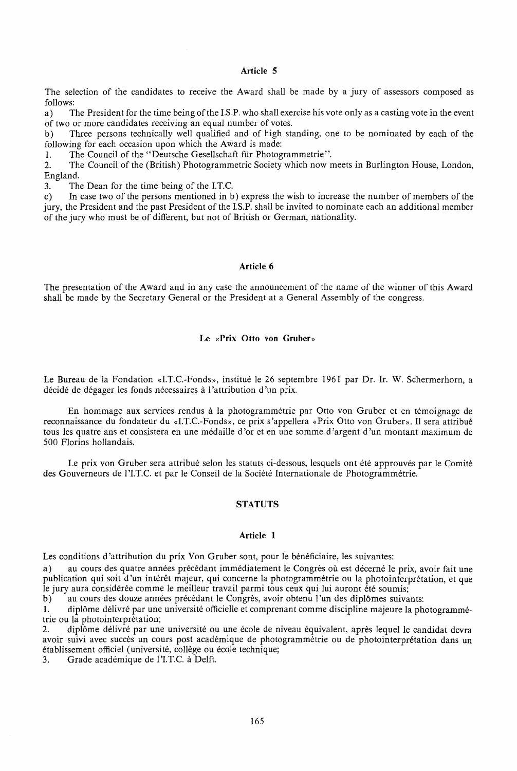## **Article 5**

The selection of the candidates .to receive the Award shall be made by a jury of assessors composed as follows:

a) The President for the time being of the I.S.P. who shall exercise his vote only as a casting vote in the event of two or more candidates receiving an equal number of votes.

b) Three persons technically well qualified and of high standing, one to be nominated by each of the following for each occasion upon which the Award is made:

1. The Council of the "Deutsche Gesellschaft für Photogrammetrie".

2. The Council of the (British) Photogrammetric Society which now meets in Burlington House, London, England.

3. The Dean for the time being of the I.T.C.<br>c) In case two of the persons mentioned in b In case two of the persons mentioned in b) express the wish to increase the number of members of the jury, the President and the past President of the I.S.P. shall be invited to nominate each an additional member of the jury who must be of different, but not of British or German, nationality.

### **Article 6**

The presentation of the Award and in any case the announcement of the name of the winner of this Award shall be made by the Secretary General or the President at a General Assembly of the congress.

# **Le «Prix Otto von Gruber»**

Le Bureau de la Fondation «I.T.C.-Fonds», institué le 26 septembre 1961 par Dr. Ir. W. Schermerhorn, a décidé de dégager les fonds nécessaires à l'attribution d'un prix.

En hommage aux services rendus à la photogrammétrie par Otto von Gruber et en témoignage de reconnaissance du fondateur du «I.T.C.-Fonds», ce prix s'appellera «Prix Otto von Gruber». Il sera attribué tous les quatre ans et consistera en une médaille d'or et en une somme d'argent d'un montant maximum de 500 Florins hollandais.

Le prix von Gruber sera attribué selon les statuts ci-dessous, lesquels ont été approuvés par le Comité des Gouverneurs de l'I.T.C. et par le Conseil de la Société Internationale de Photogrammétrie.

#### **STATUTS**

# **Article 1**

Les conditions d'attribution du prix Von Gruber sont, pour le bénéficiaire, les suivantes:

a) au cours des quatre années précédant immédiatement le Congrès où est décerné le prix, avoir fait une publication qui soit d 'un interet majeur, qui concerne Ia photogrammetrie ou Ia photointerpretation, et que Ie jury aura considérée comme le meilleur travail parmi tous ceux qui lui auront été soumis;

b) au cours des douze années précédant le Congrès, avoir obtenu l'un des diplômes suivants:

1. diplôme délivré par une université officielle et comprenant comme discipline majeure la photogrammétrie ou Ia photointerpretation;

2. diplome delivre par une universite ou une ecole de niveau equivalent, apres lequel le candidat devra avoir suivi avec succès un cours post académique de photogrammétrie ou de photointerprétation dans un établissement officiel (université, collège ou école technique;

3. Grade académique de l'I.T.C. à Delft.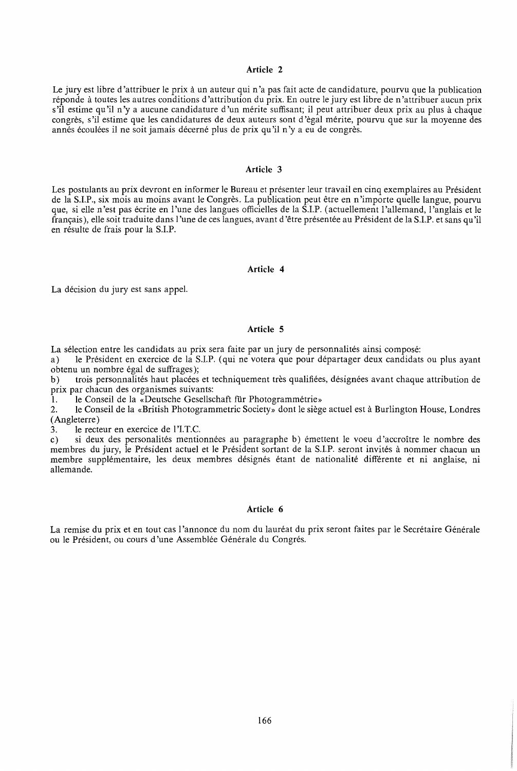## **Article 2**

Le jury est libre d'attribuer le prix à un auteur qui n'a pas fait acte de candidature, pourvu que la publication réponde à toutes les autres conditions d'attribution du prix. En outre le jury est libre de n'attribuer aucun prix s'il estime qu'il n'y a aucune candidature d'un mérite suffisant; il peut attribuer deux prix au plus à chaque congres, s 'il estime que les candidatures de deux auteurs sont d 'egal merite, pourvu que sur la moyenne des annés écoulées il ne soit jamais décerné plus de prix qu'il n'y a eu de congrès.

### **Article 3**

Les postulants au prix devront en informer le Bureau et presenter leur travail en cinq exemplaires au President de la S.I.P., six mois au moins avant le Congres. La publication peut etre en n'importe quelle langue, pourvu que, si elle n 'est pas ecrite en l 'une des langues officielles de la S.I.P. ( actuellement l 'allemand, l 'anglais et le français), elle soit traduite dans l'une de ces langues, avant d'être présentée au Président de la S.I.P. et sans qu'il en résulte de frais pour la S.I.P.

### **Article 4**

La décision du jury est sans appel.

#### **Article 5**

La sélection entre les candidats au prix sera faite par un jury de personnalités ainsi composé:

a) le President en exercice de la S.I.P. (qui ne votera que pour departager deux candidats ou plus ayant obtenu un nombre égal de suffrages);

b) trois personnalités haut placées et techniquement très qualifiées, désignées avant chaque attribution de prix par chacun des organismes suivants:

1. le Conseil de la «Deutsche Gesellschaft für Photogrammétrie»

2. le Conseil de la «British Photogrammetric Society» dont le siege actuel est a Burlington House, Londres (Angleterre)

3. le recteur en exercice de l'I.T.C.

c) si deux des personalités mentionnées au paragraphe b) émettent le voeu d'accroître le nombre des membres du jury, le President actuel et le President sortant de la S.I.P. seront invites a nommer chacun un membre supplémentaire, les deux membres désignés étant de nationalité différente et ni anglaise, ni allemande.

#### **Article 6**

La remise du prix et en tout cas l'annonce du nom du lauréat du prix seront faites par le Secrétaire Générale ou le Président, ou cours d'une Assemblée Générale du Congrés.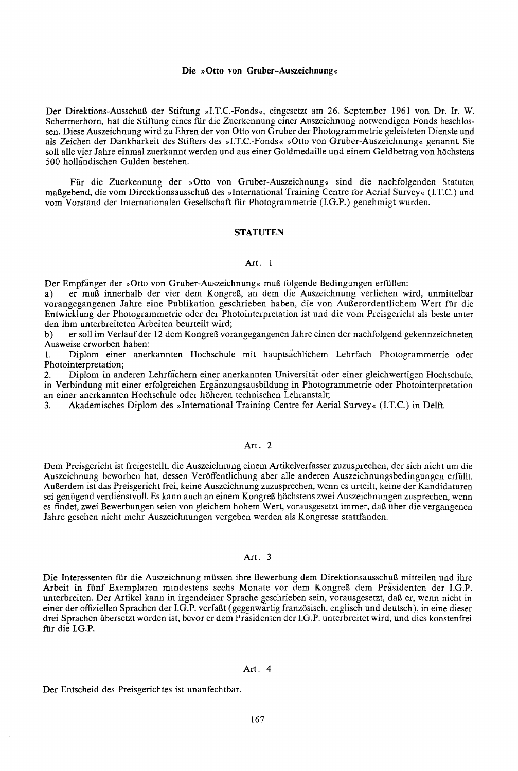#### Die »Otto von Gruber-Auszeichnung«

Der Direktions-Ausschuß der Stiftung »I.T.C.-Fonds«, eingesetzt am 26. September 1961 von Dr. Ir. W. Schermerhorn, hat die Stiftung eines für die Zuerkennung einer Auszeichnung notwendigen Fonds beschlossen. Diese Auszeichnung wird zu Ehren der von Otto von Gruber der Photograinmetrie geleisteten Dienste und als Zeichen der Dankbarkeit des Stifters des »LT.C.-Fonds« »Otto von Gruber-Auszeichnung« genannt. Sie soli aile vier Jahre einmal zuerkannt werden und aus einer Goldmedaille und einem Ge1dbetrag von hochstens 500 hollandischen Gulden bestehen.

Fur die Zuerkennung der »Otto von Gruber-Auszeichnung« sind die nachfolgenden Statuten maßgebend, die vom Direcktionsausschuß des »International Training Centre for Aerial Survey« (I.T.C.) und vom Vorstand der Internationalen Gesellschaft ftir Photogrammetrie (I.G.P.) genehmigt wurden.

#### **STATUTEN**

### Art. I

Der Empfänger der »Otto von Gruber-Auszeichnung« muß folgende Bedingungen erfüllen:

a) er muß innerhalb der vier dem Kongreß, an dem die Auszeichnung verliehen wird, unmittelbar vorangegangenen Jahre eine Publikation geschrieben haben, die von Außerordentlichem Wert für die Entwicklung der Photogrammetrie oder der Photointerpretation ist und die vom Preisgericht als beste unter den ihm unterbreiteten Arbeiten beurteilt wird;

b) er soll im Verlauf der 12 dem Kongreß vorangegangenen Jahre einen der nachfolgend gekennzeichneten Ausweise erworben haben:

I. Diplom einer anerkannten Hochschule mit hauptsachlichem Lehrfach Photogrammetrie oder Photointerpretation;

2. Diplom in anderen Lehrfachern einer anerkannten Universitat oder einer gleichwertigen Hochschule, in Verbindung mit einer erfolgreichen Erganzungsausbildung in Photogrammetrie oder Photointerpretation an einer anerkannten Hochschule oder hoheren technischen Lehranstalt;

3. Akademisches Diplom des »International Training Centre for Aerial Survey« (I.T.C.) in Delft.

## Art. 2

Dem Preisgericht ist freigestellt, die Auszeichnung einem Artikelverfasser zuzusprechen, der sich nicht um die Auszeichnung beworben hat, dessen Veroffentlichung aber aile anderen Auszeichnungsbedingungen erflillt. Außerdem ist das Preisgericht frei, keine Auszeichnung zuzusprechen, wenn es urteilt, keine der Kandidaturen sei genügend verdienstvoll. Es kann auch an einem Kongreß höchstens zwei Auszeichnungen zusprechen, wenn es findet, zwei Bewerbungen seien von gleichem hohem Wert, vorausgesetzt immer, daB tiber die vergangenen Jahre gesehen nicht mehr Auszeichnungen vergeben werden als Kongresse stattfanden.

### Art. 3

Die Interessenten für die Auszeichnung müssen ihre Bewerbung dem Direktionsausschuß mitteilen und ihre Arbeit in flinf Exemplaren mindestens sechs Monate vor dem KongreB dem Prasidenten der I.G.P. unterbreiten. Der Artikel kann in irgendeiner Sprache geschrieben sein, vorausgesetzt, daß er, wenn nicht in einer der offiziellen Sprachen der I.G.P. verfaßt (gegenwartig französisch, englisch und deutsch), in eine dieser drei Sprachen ubersetzt worden ist, bevor er dem Prasidenten der I.G.P. unterbreitet wird, und dies konstenfrei für die I.G.P.

### Art. 4

Der Entscheid des Preisgerichtes ist unanfechtbar.